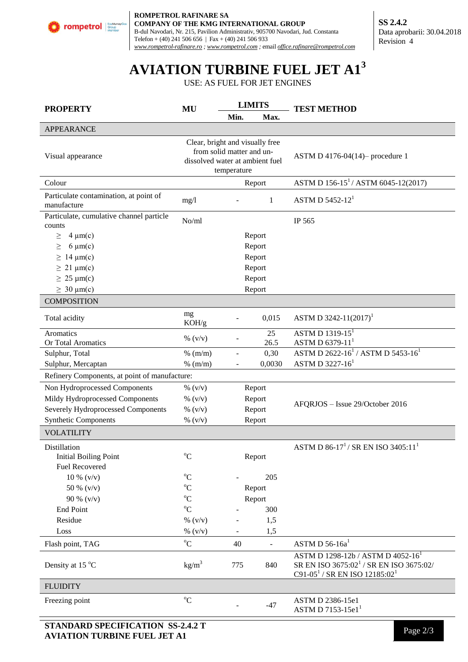

**ROMPETROL RAFINARE SA COMPANY OF THE KMG INTERNATIONAL GROUP** B-dul Navodari, Nr. 215, Pavilion Administrativ, 905700 Navodari, Jud. Constanta Telefon + (40) 241 506 656 | Fax + (40) 241 506 933 *[www.rompetrol-rafinare.ro](http://www.rompetrol-rafinare.ro/) [; www.rompetrol.com](http://www.rompetrol.com/) ;* email *[office.rafinare@rompetrol.com](mailto:office.rafinare@rompetrol.com)*

**SS 2.4.2** Data aprobarii: 30.04.2018 Revision 4

## **AVIATION TURBINE FUEL JET A1<sup>3</sup>**

USE: AS FUEL FOR JET ENGINES

| <b>PROPERTY</b>                                                       | MU                                                                                                             | <b>LIMITS</b><br>Min.<br>Max. |                          | <b>TEST METHOD</b>                                                                                                                                            |
|-----------------------------------------------------------------------|----------------------------------------------------------------------------------------------------------------|-------------------------------|--------------------------|---------------------------------------------------------------------------------------------------------------------------------------------------------------|
| <b>APPEARANCE</b>                                                     |                                                                                                                |                               |                          |                                                                                                                                                               |
| Visual appearance                                                     | Clear, bright and visually free<br>from solid matter and un-<br>dissolved water at ambient fuel<br>temperature |                               |                          | ASTM D 4176-04(14)- procedure 1                                                                                                                               |
| Colour                                                                |                                                                                                                |                               | Report                   | ASTM D $156-15^1/$ ASTM 6045-12(2017)                                                                                                                         |
| Particulate contamination, at point of<br>manufacture                 | mg/l                                                                                                           |                               | $\mathbf{1}$             | ASTM D $5452-12^1$                                                                                                                                            |
| Particulate, cumulative channel particle<br>counts                    | No/ml                                                                                                          |                               |                          | IP 565                                                                                                                                                        |
| $4 \mu m(c)$<br>$\geq$                                                |                                                                                                                | Report                        |                          |                                                                                                                                                               |
| $6 \mu m(c)$<br>≧                                                     |                                                                                                                |                               | Report                   |                                                                                                                                                               |
| $\geq 14 \mu m(c)$                                                    |                                                                                                                |                               | Report                   |                                                                                                                                                               |
| $\geq$ 21 µm(c)                                                       |                                                                                                                |                               | Report                   |                                                                                                                                                               |
| $\geq$ 25 µm(c)                                                       |                                                                                                                |                               | Report                   |                                                                                                                                                               |
| $\geq 30 \mu m(c)$                                                    |                                                                                                                |                               | Report                   |                                                                                                                                                               |
| <b>COMPOSITION</b>                                                    |                                                                                                                |                               |                          |                                                                                                                                                               |
| Total acidity                                                         | mg<br>KOH/g                                                                                                    |                               | 0,015                    | ASTM D 3242-11 $(2017)^1$                                                                                                                                     |
| Aromatics                                                             | % $(v/v)$                                                                                                      |                               | 25                       | <b>ASTM D 1319-15</b>                                                                                                                                         |
| Or Total Aromatics<br>Sulphur, Total                                  |                                                                                                                |                               | 26.5<br>0,30             | ASTM D $6379-11$ <sup>1</sup><br>ASTM D 2622-16 <sup>1</sup> / ASTM D 5453-16 <sup>1</sup>                                                                    |
| Sulphur, Mercaptan                                                    | $%$ (m/m)<br>$%$ (m/m)                                                                                         |                               | 0,0030                   | ASTM D $3227-16$ <sup>1</sup>                                                                                                                                 |
| Refinery Components, at point of manufacture:                         |                                                                                                                |                               |                          |                                                                                                                                                               |
|                                                                       |                                                                                                                |                               |                          |                                                                                                                                                               |
| Non Hydroprocessed Components                                         | $\%$ (v/v)                                                                                                     |                               | Report                   | AFQRJOS - Issue 29/October 2016                                                                                                                               |
| Mildy Hydroprocessed Components                                       | % $(v/v)$                                                                                                      |                               | Report                   |                                                                                                                                                               |
| Severely Hydroprocessed Components                                    | % $(v/v)$                                                                                                      |                               | Report                   |                                                                                                                                                               |
| <b>Synthetic Components</b>                                           | % $(v/v)$                                                                                                      |                               | Report                   |                                                                                                                                                               |
| <b>VOLATILITY</b>                                                     |                                                                                                                |                               |                          |                                                                                                                                                               |
| Distillation<br><b>Initial Boiling Point</b><br><b>Fuel Recovered</b> | $^{\mathrm{o}}\mathrm{C}$                                                                                      |                               | Report                   | ASTM D $86-17^{1}$ / SR EN ISO 3405:11 <sup>1</sup>                                                                                                           |
| 10 % $(v/v)$                                                          | $^{\circ}C$                                                                                                    |                               | 205                      |                                                                                                                                                               |
| 50 % (v/v)                                                            | $^{\circ}C$                                                                                                    |                               | Report                   |                                                                                                                                                               |
| 90 % $(v/v)$                                                          | $^{\circ}C$                                                                                                    | Report                        |                          |                                                                                                                                                               |
| <b>End Point</b>                                                      | $^{\circ}C$                                                                                                    |                               | 300                      |                                                                                                                                                               |
| Residue                                                               | % $(v/v)$                                                                                                      |                               | 1,5                      |                                                                                                                                                               |
| Loss                                                                  | % (v/v)                                                                                                        |                               | 1,5                      |                                                                                                                                                               |
| Flash point, TAG                                                      | $^{\circ}C$                                                                                                    | 40                            | $\overline{\phantom{a}}$ | ASTM D $56-16a1$                                                                                                                                              |
| Density at 15 °C                                                      | kg/m <sup>3</sup>                                                                                              | 775                           | 840                      | ASTM D 1298-12b / ASTM D 4052-16 <sup>1</sup><br>SR EN ISO 3675:02 <sup>1</sup> / SR EN ISO 3675:02/<br>C91-05 <sup>1</sup> / SR EN ISO 12185:02 <sup>1</sup> |
| <b>FLUIDITY</b>                                                       |                                                                                                                |                               |                          |                                                                                                                                                               |
| Freezing point                                                        | $^{\circ}C$                                                                                                    |                               | $-47$                    | ASTM D 2386-15e1<br>ASTM D 7153-15e1                                                                                                                          |